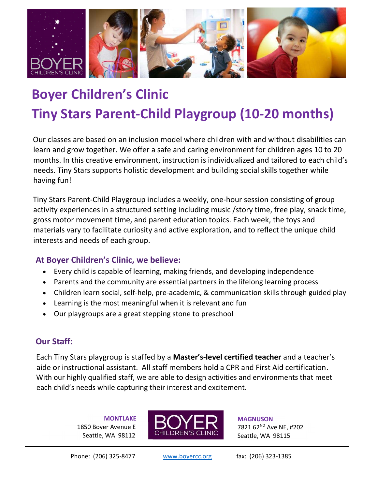

# Boyer Children's Clinic Tiny Stars Parent-Child Playgroup (10-20 months)

Our classes are based on an inclusion model where children with and without disabilities can learn and grow together. We offer a safe and caring environment for children ages 10 to 20 months. In this creative environment, instruction is individualized and tailored to each child's needs. Tiny Stars supports holistic development and building social skills together while having fun!

Tiny Stars Parent-Child Playgroup includes a weekly, one-hour session consisting of group activity experiences in a structured setting including music /story time, free play, snack time, gross motor movement time, and parent education topics. Each week, the toys and materials vary to facilitate curiosity and active exploration, and to reflect the unique child interests and needs of each group.

## At Boyer Children's Clinic, we believe:

- Every child is capable of learning, making friends, and developing independence
- Parents and the community are essential partners in the lifelong learning process
- Children learn social, self-help, pre-academic, & communication skills through guided play
- Learning is the most meaningful when it is relevant and fun
- Our playgroups are a great stepping stone to preschool

## Our Staff:

Each Tiny Stars playgroup is staffed by a Master's-level certified teacher and a teacher's aide or instructional assistant. All staff members hold a CPR and First Aid certification. With our highly qualified staff, we are able to design activities and environments that meet each child's needs while capturing their interest and excitement.

> **MONTLAKE**  1850 Boyer Avenue E Seattle, WA 98112



**MAGNUSON** 7821 62<sup>ND</sup> Ave NE, #202 Seattle, WA 98115

Phone: (206) 325-8477 www.boyercc.org fax: (206) 323-1385